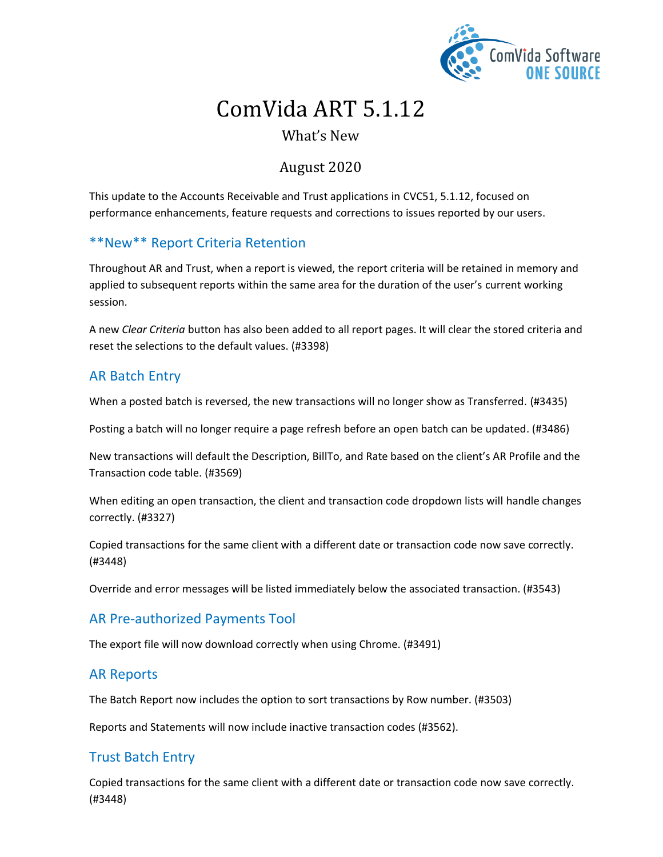

# ComVida ART 5.1.12

# What's New

# August 2020

This update to the Accounts Receivable and Trust applications in CVC51, 5.1.12, focused on performance enhancements, feature requests and corrections to issues reported by our users.

## \*\*New\*\* Report Criteria Retention

Throughout AR and Trust, when a report is viewed, the report criteria will be retained in memory and applied to subsequent reports within the same area for the duration of the user's current working session.

A new *Clear Criteria* button has also been added to all report pages. It will clear the stored criteria and reset the selections to the default values. (#3398)

#### AR Batch Entry

When a posted batch is reversed, the new transactions will no longer show as Transferred. (#3435)

Posting a batch will no longer require a page refresh before an open batch can be updated. (#3486)

New transactions will default the Description, BillTo, and Rate based on the client's AR Profile and the Transaction code table. (#3569)

When editing an open transaction, the client and transaction code dropdown lists will handle changes correctly. (#3327)

Copied transactions for the same client with a different date or transaction code now save correctly. (#3448)

Override and error messages will be listed immediately below the associated transaction. (#3543)

## AR Pre-authorized Payments Tool

The export file will now download correctly when using Chrome. (#3491)

#### AR Reports

The Batch Report now includes the option to sort transactions by Row number. (#3503)

Reports and Statements will now include inactive transaction codes (#3562).

## Trust Batch Entry

Copied transactions for the same client with a different date or transaction code now save correctly. (#3448)